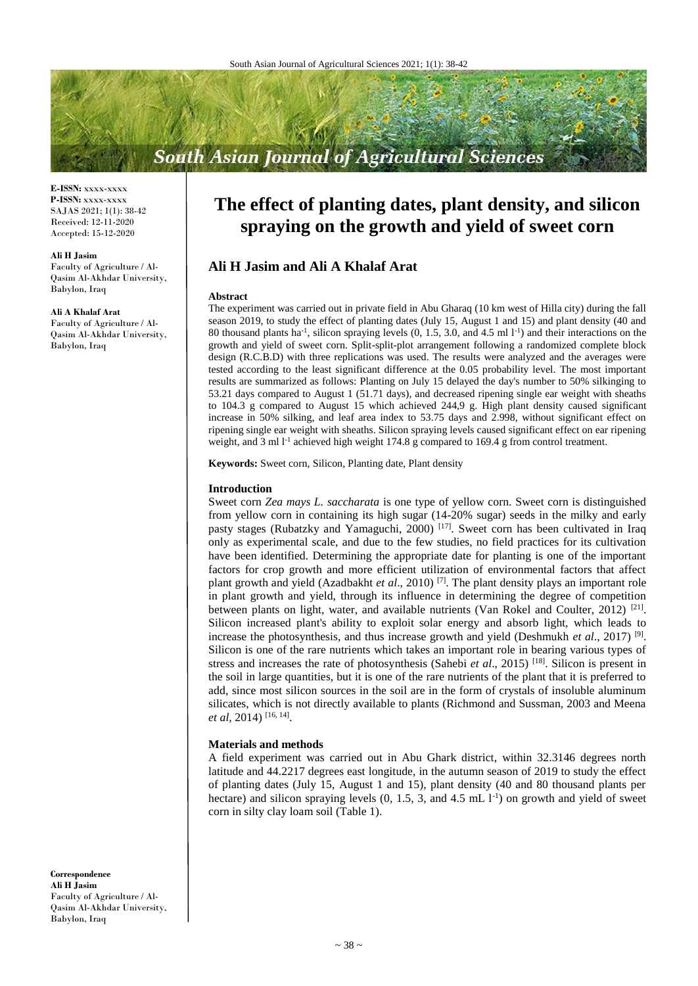# **South Asian Journal of Agricultural Sciences**

**E-ISSN:** xxxx-xxxx **P-ISSN:** xxxx-xxxx SAJAS 2021; 1(1): 38-42 Received: 12-11-2020 Accepted: 15-12-2020

#### **Ali H Jasim**

Faculty of Agriculture / Al-Qasim Al-Akhdar University, Babylon, Iraq

#### **Ali A Khalaf Arat**

Faculty of Agriculture / Al-Qasim Al-Akhdar University, Babylon, Iraq

## **The effect of planting dates, plant density, and silicon spraying on the growth and yield of sweet corn**

## **Ali H Jasim and Ali A Khalaf Arat**

#### **Abstract**

The experiment was carried out in private field in Abu Gharaq (10 km west of Hilla city) during the fall season 2019, to study the effect of planting dates (July 15, August 1 and 15) and plant density (40 and 80 thousand plants ha<sup>-1</sup>, silicon spraying levels (0, 1.5, 3.0, and 4.5 ml l<sup>-1</sup>) and their interactions on the growth and yield of sweet corn. Split-split-plot arrangement following a randomized complete block design (R.C.B.D) with three replications was used. The results were analyzed and the averages were tested according to the least significant difference at the 0.05 probability level. The most important results are summarized as follows: Planting on July 15 delayed the day's number to 50% silkinging to 53.21 days compared to August 1 (51.71 days), and decreased ripening single ear weight with sheaths to 104.3 g compared to August 15 which achieved 244,9 g. High plant density caused significant increase in 50% silking, and leaf area index to 53.75 days and 2.998, without significant effect on ripening single ear weight with sheaths. Silicon spraying levels caused significant effect on ear ripening weight, and 3 ml  $1<sup>-1</sup>$  achieved high weight 174.8 g compared to 169.4 g from control treatment.

**Keywords:** Sweet corn, Silicon, Planting date, Plant density

#### **Introduction**

Sweet corn *Zea mays L. saccharata* is one type of yellow corn. Sweet corn is distinguished from yellow corn in containing its high sugar (14-20% sugar) seeds in the milky and early pasty stages (Rubatzky and Yamaguchi, 2000)  $[17]$ . Sweet corn has been cultivated in Iraq only as experimental scale, and due to the few studies, no field practices for its cultivation have been identified. Determining the appropriate date for planting is one of the important factors for crop growth and more efficient utilization of environmental factors that affect plant growth and yield (Azadbakht *et al*., 2010) [7]. The plant density plays an important role in plant growth and yield, through its influence in determining the degree of competition between plants on light, water, and available nutrients (Van Rokel and Coulter, 2012)<sup>[21]</sup>. Silicon increased plant's ability to exploit solar energy and absorb light, which leads to increase the photosynthesis, and thus increase growth and yield (Deshmukh *et al*., 2017) [9] . Silicon is one of the rare nutrients which takes an important role in bearing various types of stress and increases the rate of photosynthesis (Sahebi *et al*., 2015) [18]. Silicon is present in the soil in large quantities, but it is one of the rare nutrients of the plant that it is preferred to add, since most silicon sources in the soil are in the form of crystals of insoluble aluminum silicates, which is not directly available to plants (Richmond and Sussman, 2003 and Meena *et al*, 2014) [16, 14] .

#### **Materials and methods**

A field experiment was carried out in Abu Ghark district, within 32.3146 degrees north latitude and 44.2217 degrees east longitude, in the autumn season of 2019 to study the effect of planting dates (July 15, August 1 and 15), plant density (40 and 80 thousand plants per hectare) and silicon spraying levels  $(0, 1.5, 3,$  and  $4.5 \text{ mL} 1^{-1})$  on growth and yield of sweet corn in silty clay loam soil (Table 1).

**Correspondence Ali H Jasim** Faculty of Agriculture / Al-Qasim Al-Akhdar University, Babylon, Iraq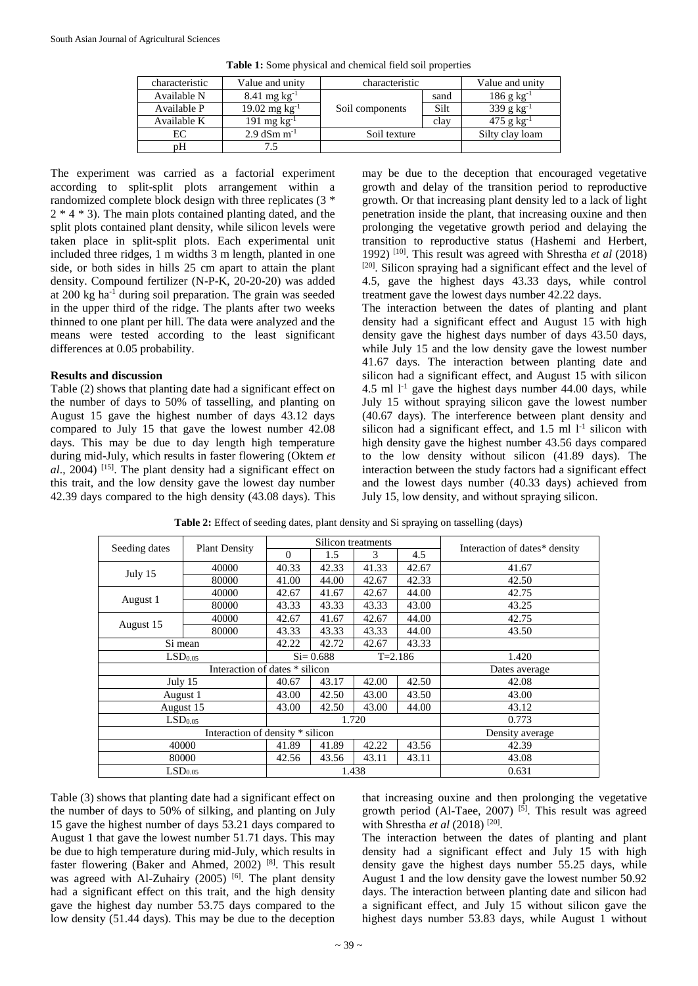| characteristic | Value and unity            | characteristic  | Value and unity |                          |
|----------------|----------------------------|-----------------|-----------------|--------------------------|
| Available N    | $8.41 \text{ mg kg}^{-1}$  |                 | sand            | $186 \text{ g kg}^{-1}$  |
| Available P    | $19.02 \text{ mg kg}^{-1}$ | Soil components | Silt            | 339 g $kg^{-1}$          |
| Available K    | 191 mg $kg^{-1}$           |                 | clay            | $475$ g kg <sup>-1</sup> |
| EС             | $2.9$ dSm m <sup>-1</sup>  | Soil texture    |                 | Silty clay loam          |
| pН             |                            |                 |                 |                          |

**Table 1:** Some physical and chemical field soil properties

The experiment was carried as a factorial experiment according to split-split plots arrangement within a randomized complete block design with three replicates (3 \*  $2 * 4 * 3$ ). The main plots contained planting dated, and the split plots contained plant density, while silicon levels were taken place in split-split plots. Each experimental unit included three ridges, 1 m widths 3 m length, planted in one side, or both sides in hills 25 cm apart to attain the plant density. Compound fertilizer (N-P-K, 20-20-20) was added at 200 kg ha-1 during soil preparation. The grain was seeded in the upper third of the ridge. The plants after two weeks thinned to one plant per hill. The data were analyzed and the means were tested according to the least significant differences at 0.05 probability.

#### **Results and discussion**

Table (2) shows that planting date had a significant effect on the number of days to 50% of tasselling, and planting on August 15 gave the highest number of days 43.12 days compared to July 15 that gave the lowest number 42.08 days. This may be due to day length high temperature during mid-July, which results in faster flowering (Oktem *et al*., 2004) [15] . The plant density had a significant effect on this trait, and the low density gave the lowest day number 42.39 days compared to the high density (43.08 days). This

may be due to the deception that encouraged vegetative growth and delay of the transition period to reproductive growth. Or that increasing plant density led to a lack of light penetration inside the plant, that increasing ouxine and then prolonging the vegetative growth period and delaying the transition to reproductive status (Hashemi and Herbert, 1992) [10]. This result was agreed with Shrestha *et al* (2018) [20]. Silicon spraying had a significant effect and the level of 4.5, gave the highest days 43.33 days, while control treatment gave the lowest days number 42.22 days.

The interaction between the dates of planting and plant density had a significant effect and August 15 with high density gave the highest days number of days 43.50 days, while July 15 and the low density gave the lowest number 41.67 days. The interaction between planting date and silicon had a significant effect, and August 15 with silicon 4.5 ml  $l^{-1}$  gave the highest days number 44.00 days, while July 15 without spraying silicon gave the lowest number (40.67 days). The interference between plant density and silicon had a significant effect, and  $1.5$  ml  $l<sup>-1</sup>$  silicon with high density gave the highest number 43.56 days compared to the low density without silicon (41.89 days). The interaction between the study factors had a significant effect and the lowest days number (40.33 days) achieved from July 15, low density, and without spraying silicon.

| Seeding dates       | <b>Plant Density</b>             |                             |       | Silicon treatments | Interaction of dates* density |       |
|---------------------|----------------------------------|-----------------------------|-------|--------------------|-------------------------------|-------|
|                     |                                  | $\Omega$                    | 1.5   | 3                  | 4.5                           |       |
|                     | 40000                            | 40.33                       | 42.33 | 41.33              | 42.67                         | 41.67 |
| July 15             | 80000                            | 41.00                       | 44.00 | 42.67              | 42.33                         | 42.50 |
|                     | 40000                            | 42.67                       | 41.67 | 42.67              | 44.00                         | 42.75 |
| August 1            | 80000                            | 43.33                       | 43.33 | 43.33              | 43.00                         | 43.25 |
|                     | 40000                            | 42.67                       | 41.67 | 42.67              | 44.00                         | 42.75 |
| August 15           | 80000                            | 43.33                       | 43.33 | 43.33              | 44.00                         | 43.50 |
| Si mean             |                                  | 42.22                       | 42.72 | 42.67              | 43.33                         |       |
| LSD <sub>0.05</sub> |                                  | $Si = 0.688$<br>$T = 2.186$ |       |                    | 1.420                         |       |
|                     | Interaction of dates * silicon   |                             |       | Dates average      |                               |       |
| July $15$           |                                  | 40.67                       | 43.17 | 42.00              | 42.50                         | 42.08 |
| August 1            |                                  | 43.00                       | 42.50 | 43.00              | 43.50                         | 43.00 |
| August 15           |                                  | 43.00                       | 42.50 | 43.00              | 44.00                         | 43.12 |
| LSD <sub>0.05</sub> |                                  |                             |       | 1.720              | 0.773                         |       |
|                     | Interaction of density * silicon |                             |       | Density average    |                               |       |
| 40000               |                                  | 41.89                       | 41.89 | 42.22              | 43.56                         | 42.39 |
| 80000               |                                  | 42.56                       | 43.56 | 43.11              | 43.11                         | 43.08 |
| LSD <sub>0.05</sub> |                                  | 1.438                       |       |                    |                               | 0.631 |

**Table 2:** Effect of seeding dates, plant density and Si spraying on tasselling (days)

Table (3) shows that planting date had a significant effect on the number of days to 50% of silking, and planting on July 15 gave the highest number of days 53.21 days compared to August 1 that gave the lowest number 51.71 days. This may be due to high temperature during mid-July, which results in faster flowering (Baker and Ahmed, 2002) [8]. This result was agreed with Al-Zuhairy (2005) [6]. The plant density had a significant effect on this trait, and the high density gave the highest day number 53.75 days compared to the low density (51.44 days). This may be due to the deception

that increasing ouxine and then prolonging the vegetative growth period (Al-Taee, 2007)<sup>[5]</sup>. This result was agreed with Shrestha *et al* (2018)<sup>[20]</sup>.

The interaction between the dates of planting and plant density had a significant effect and July 15 with high density gave the highest days number 55.25 days, while August 1 and the low density gave the lowest number 50.92 days. The interaction between planting date and silicon had a significant effect, and July 15 without silicon gave the highest days number 53.83 days, while August 1 without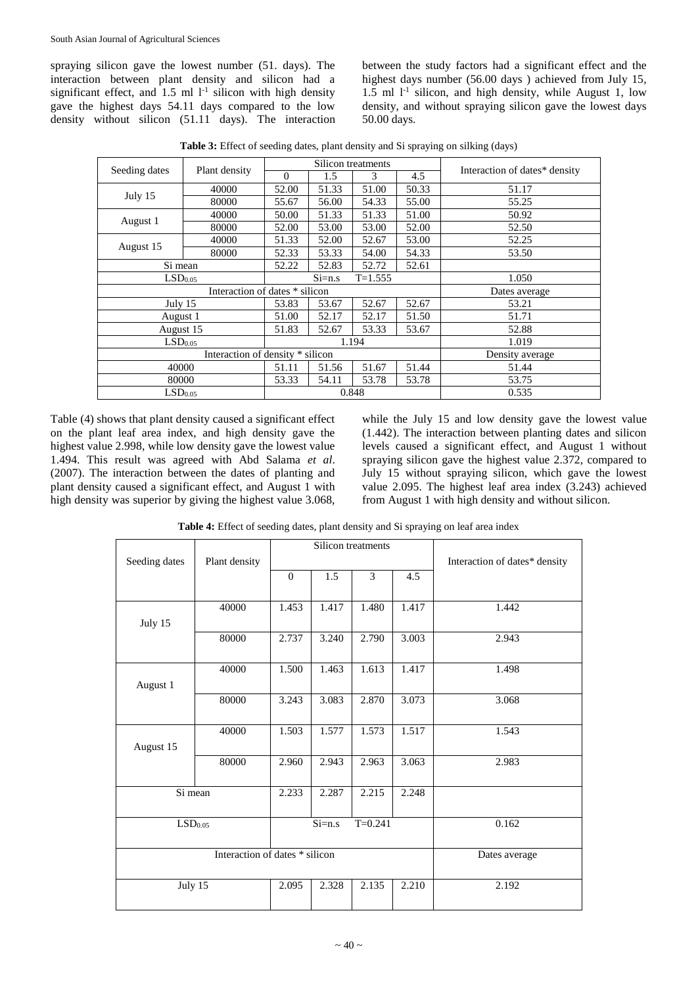spraying silicon gave the lowest number (51. days). The interaction between plant density and silicon had a significant effect, and  $1.5$  ml  $1<sup>-1</sup>$  silicon with high density gave the highest days 54.11 days compared to the low density without silicon (51.11 days). The interaction between the study factors had a significant effect and the highest days number (56.00 days ) achieved from July 15,  $1.5$  ml  $1<sup>-1</sup>$  silicon, and high density, while August 1, low density, and without spraying silicon gave the lowest days 50.00 days.

**Table 3:** Effect of seeding dates, plant density and Si spraying on silking (days)

|                     | Plant density                    |          | Silicon treatments |                 | Interaction of dates* density |       |
|---------------------|----------------------------------|----------|--------------------|-----------------|-------------------------------|-------|
| Seeding dates       |                                  | $\Omega$ | 1.5                | 3               | 4.5                           |       |
|                     | 40000                            | 52.00    | 51.33              | 51.00           | 50.33                         | 51.17 |
| July 15             | 80000                            | 55.67    | 56.00              | 54.33           | 55.00                         | 55.25 |
|                     | 40000                            | 50.00    | 51.33              | 51.33           | 51.00                         | 50.92 |
| August 1            | 80000                            | 52.00    | 53.00              | 53.00           | 52.00                         | 52.50 |
| August 15           | 40000                            | 51.33    | 52.00              | 52.67           | 53.00                         | 52.25 |
|                     | 80000                            | 52.33    | 53.33              | 54.00           | 54.33                         | 53.50 |
| Si mean             |                                  | 52.22    | 52.83              | 52.72           | 52.61                         |       |
| LSD <sub>0.05</sub> |                                  |          | $Si=n.s$           | $T = 1.555$     | 1.050                         |       |
|                     | Interaction of dates * silicon   |          |                    | Dates average   |                               |       |
| July 15             |                                  | 53.83    | 53.67              | 52.67           | 52.67                         | 53.21 |
| August 1            |                                  | 51.00    | 52.17              | 52.17           | 51.50                         | 51.71 |
| August 15           |                                  | 51.83    | 52.67              | 53.33           | 53.67                         | 52.88 |
| LSD <sub>0.05</sub> |                                  |          |                    | 1.194           | 1.019                         |       |
|                     | Interaction of density * silicon |          |                    | Density average |                               |       |
| 40000               |                                  | 51.11    | 51.56              | 51.67           | 51.44                         | 51.44 |
| 80000               |                                  | 53.33    | 54.11              | 53.78           | 53.78                         | 53.75 |
| LSD <sub>0.05</sub> |                                  | 0.848    |                    |                 |                               | 0.535 |

Table (4) shows that plant density caused a significant effect on the plant leaf area index, and high density gave the highest value 2.998, while low density gave the lowest value 1.494. This result was agreed with Abd Salama *et al*. (2007). The interaction between the dates of planting and plant density caused a significant effect, and August 1 with high density was superior by giving the highest value 3.068, while the July 15 and low density gave the lowest value (1.442). The interaction between planting dates and silicon levels caused a significant effect, and August 1 without spraying silicon gave the highest value 2.372, compared to July 15 without spraying silicon, which gave the lowest value 2.095. The highest leaf area index (3.243) achieved from August 1 with high density and without silicon.

**Table 4:** Effect of seeding dates, plant density and Si spraying on leaf area index

|                     |                                |              |          | Silicon treatments |                               |       |
|---------------------|--------------------------------|--------------|----------|--------------------|-------------------------------|-------|
| Seeding dates       | Plant density                  |              |          |                    | Interaction of dates* density |       |
|                     |                                | $\mathbf{0}$ | 1.5      | 3                  | 4.5                           |       |
|                     |                                |              |          |                    |                               |       |
|                     | 40000                          | 1.453        | 1.417    | 1.480              | 1.417                         | 1.442 |
| July 15             |                                |              |          |                    |                               |       |
|                     | 80000                          | 2.737        | 3.240    | 2.790              | 3.003                         | 2.943 |
|                     |                                |              |          |                    |                               |       |
|                     | 40000                          | 1.500        | 1.463    | 1.613              | 1.417                         | 1.498 |
| August 1            |                                |              |          |                    |                               |       |
|                     | 80000                          | 3.243        | 3.083    | 2.870              | 3.073                         | 3.068 |
|                     |                                |              |          |                    |                               |       |
|                     | 40000                          | 1.503        | 1.577    | 1.573              | 1.517                         | 1.543 |
| August 15           |                                |              |          |                    |                               |       |
|                     | 80000                          | 2.960        | 2.943    | 2.963              | 3.063                         | 2.983 |
|                     |                                |              |          |                    |                               |       |
| Si mean             |                                | 2.233        | 2.287    | 2.215              | 2.248                         |       |
|                     |                                |              |          |                    |                               |       |
| LSD <sub>0.05</sub> |                                |              | $Si=n.s$ | $T = 0.241$        | 0.162                         |       |
|                     |                                |              |          |                    |                               |       |
|                     | Interaction of dates * silicon |              |          | Dates average      |                               |       |
| July 15             |                                | 2.095        | 2.328    | 2.135              | 2.210                         | 2.192 |
|                     |                                |              |          |                    |                               |       |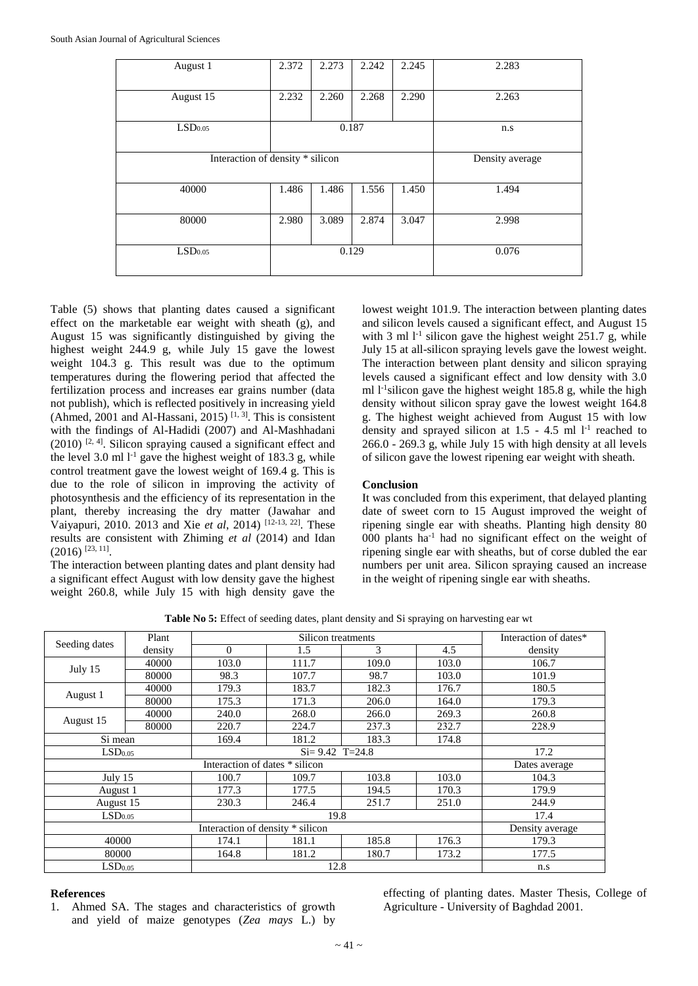| August 1                         | 2.372                            | 2.273 | 2.242 | 2.245 | 2.283 |
|----------------------------------|----------------------------------|-------|-------|-------|-------|
| August 15                        | 2.260<br>2.232<br>2.268<br>2.290 |       | 2.263 |       |       |
| LSD <sub>0.05</sub>              |                                  | 0.187 |       | n.s   |       |
| Interaction of density * silicon | Density average                  |       |       |       |       |
| 40000                            | 1.486                            | 1.486 | 1.556 | 1.450 | 1.494 |
| 80000                            | 2.980                            | 3.089 | 2.874 | 3.047 | 2.998 |
| LSD <sub>0.05</sub>              | 0.129                            |       |       |       | 0.076 |

Table (5) shows that planting dates caused a significant effect on the marketable ear weight with sheath (g), and August 15 was significantly distinguished by giving the highest weight 244.9 g, while July 15 gave the lowest weight 104.3 g. This result was due to the optimum temperatures during the flowering period that affected the fertilization process and increases ear grains number (data not publish), which is reflected positively in increasing yield (Ahmed, 2001 and Al-Hassani, 2015)<sup>[1, 3]</sup>. This is consistent with the findings of Al-Hadidi (2007) and Al-Mashhadani  $(2010)$  <sup>[2, 4]</sup>. Silicon spraying caused a significant effect and the level 3.0 ml  $1<sup>-1</sup>$  gave the highest weight of 183.3 g, while control treatment gave the lowest weight of 169.4 g. This is due to the role of silicon in improving the activity of photosynthesis and the efficiency of its representation in the plant, thereby increasing the dry matter (Jawahar and Vaiyapuri, 2010. 2013 and Xie *et al*, 2014) [12-13, 22]. These results are consistent with Zhiming *et al* (2014) and Idan  $(2016)$ <sup>[23, 11]</sup>.

The interaction between planting dates and plant density had a significant effect August with low density gave the highest weight 260.8, while July 15 with high density gave the lowest weight 101.9. The interaction between planting dates and silicon levels caused a significant effect, and August 15 with 3 ml  $1<sup>-1</sup>$  silicon gave the highest weight 251.7 g, while July 15 at all-silicon spraying levels gave the lowest weight. The interaction between plant density and silicon spraying levels caused a significant effect and low density with 3.0 ml  $l$ <sup>-1</sup>silicon gave the highest weight 185.8 g, while the high density without silicon spray gave the lowest weight 164.8 g. The highest weight achieved from August 15 with low density and sprayed silicon at  $1.5 - 4.5$  ml  $l<sup>-1</sup>$  reached to 266.0 - 269.3 g, while July 15 with high density at all levels of silicon gave the lowest ripening ear weight with sheath.

### **Conclusion**

It was concluded from this experiment, that delayed planting date of sweet corn to 15 August improved the weight of ripening single ear with sheaths. Planting high density 80 000 plants ha-1 had no significant effect on the weight of ripening single ear with sheaths, but of corse dubled the ear numbers per unit area. Silicon spraying caused an increase in the weight of ripening single ear with sheaths.

|                                  | Plant   |          | Interaction of dates* |       |       |                 |
|----------------------------------|---------|----------|-----------------------|-------|-------|-----------------|
| Seeding dates                    | density | $\Omega$ | 1.5                   | 3     | 4.5   | density         |
|                                  | 40000   | 103.0    | 111.7                 | 109.0 | 103.0 | 106.7           |
| July 15                          | 80000   | 98.3     | 107.7                 | 98.7  | 103.0 | 101.9           |
| August 1                         | 40000   | 179.3    | 183.7                 | 182.3 | 176.7 | 180.5           |
|                                  | 80000   | 175.3    | 171.3                 | 206.0 | 164.0 | 179.3           |
|                                  | 40000   | 240.0    | 268.0                 | 266.0 | 269.3 | 260.8           |
| August 15                        | 80000   | 220.7    | 224.7                 | 237.3 | 232.7 | 228.9           |
| Si mean<br>169.4                 |         |          | 181.2                 | 183.3 | 174.8 |                 |
| LSD <sub>0.05</sub>              |         |          | 17.2                  |       |       |                 |
| Interaction of dates * silicon   |         |          |                       |       |       | Dates average   |
| July $15$                        |         | 100.7    | 109.7                 | 103.8 | 103.0 | 104.3           |
| August 1                         |         | 177.3    | 177.5                 | 194.5 | 170.3 | 179.9           |
| August 15                        |         | 230.3    | 246.4                 | 251.7 | 251.0 | 244.9           |
| LSD <sub>0.05</sub>              |         |          | 17.4                  |       |       |                 |
| Interaction of density * silicon |         |          |                       |       |       | Density average |
| 40000                            |         | 174.1    | 181.1                 | 185.8 | 176.3 | 179.3           |
| 80000                            |         | 164.8    | 181.2                 | 180.7 | 173.2 | 177.5           |
| LSD <sub>0.05</sub>              |         |          | n.s                   |       |       |                 |

**Table No 5:** Effect of seeding dates, plant density and Si spraying on harvesting ear wt

#### **References**

1. Ahmed SA. The stages and characteristics of growth and yield of maize genotypes (*Zea mays* L.) by

effecting of planting dates. Master Thesis, College of Agriculture - University of Baghdad 2001.